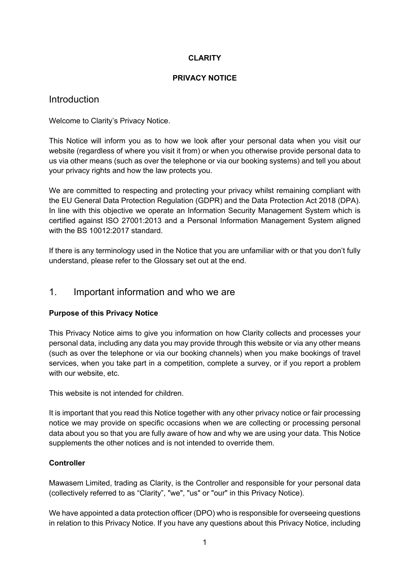## **CLARITY**

### **PRIVACY NOTICE**

# Introduction

Welcome to Clarity's Privacy Notice.

This Notice will inform you as to how we look after your personal data when you visit our website (regardless of where you visit it from) or when you otherwise provide personal data to us via other means (such as over the telephone or via our booking systems) and tell you about your privacy rights and how the law protects you.

We are committed to respecting and protecting your privacy whilst remaining compliant with the EU General Data Protection Regulation (GDPR) and the Data Protection Act 2018 (DPA). In line with this objective we operate an Information Security Management System which is certified against ISO 27001:2013 and a Personal Information Management System aligned with the BS 10012:2017 standard

If there is any terminology used in the Notice that you are unfamiliar with or that you don't fully understand, please refer to the Glossary set out at the end.

# 1. Important information and who we are

## **Purpose of this Privacy Notice**

This Privacy Notice aims to give you information on how Clarity collects and processes your personal data, including any data you may provide through this website or via any other means (such as over the telephone or via our booking channels) when you make bookings of travel services, when you take part in a competition, complete a survey, or if you report a problem with our website, etc.

This website is not intended for children.

It is important that you read this Notice together with any other privacy notice or fair processing notice we may provide on specific occasions when we are collecting or processing personal data about you so that you are fully aware of how and why we are using your data. This Notice supplements the other notices and is not intended to override them.

## **Controller**

Mawasem Limited, trading as Clarity, is the Controller and responsible for your personal data (collectively referred to as "Clarity", "we", "us" or "our" in this Privacy Notice).

We have appointed a data protection officer (DPO) who is responsible for overseeing questions in relation to this Privacy Notice. If you have any questions about this Privacy Notice, including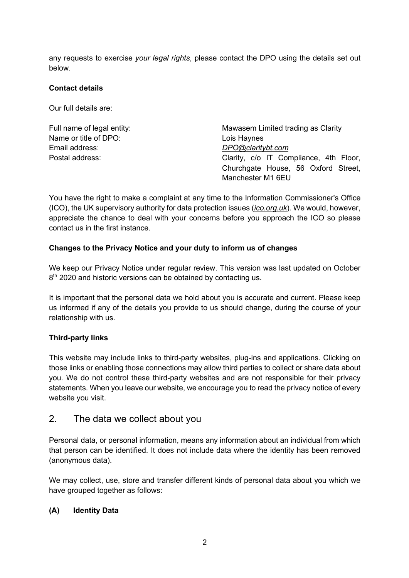any requests to exercise *your legal rights*, please contact the DPO using the details set out below.

## **Contact details**

Our full details are:

| Full name of legal entity: | Mawasem Limited trading as Clarity     |  |
|----------------------------|----------------------------------------|--|
| Name or title of DPO:      | Lois Haynes                            |  |
| Email address:             | DPO@claritybt.com                      |  |
| Postal address:            | Clarity, c/o IT Compliance, 4th Floor, |  |
|                            | Churchgate House, 56 Oxford Street,    |  |
|                            | Manchester M1 6FU                      |  |

You have the right to make a complaint at any time to the Information Commissioner's Office (ICO), the UK supervisory authority for data protection issues (*ico.org.uk*). We would, however, appreciate the chance to deal with your concerns before you approach the ICO so please contact us in the first instance.

## **Changes to the Privacy Notice and your duty to inform us of changes**

We keep our Privacy Notice under regular review. This version was last updated on October 8<sup>th</sup> 2020 and historic versions can be obtained by contacting us.

It is important that the personal data we hold about you is accurate and current. Please keep us informed if any of the details you provide to us should change, during the course of your relationship with us.

## **Third-party links**

This website may include links to third-party websites, plug-ins and applications. Clicking on those links or enabling those connections may allow third parties to collect or share data about you. We do not control these third-party websites and are not responsible for their privacy statements. When you leave our website, we encourage you to read the privacy notice of every website you visit.

# 2. The data we collect about you

Personal data, or personal information, means any information about an individual from which that person can be identified. It does not include data where the identity has been removed (anonymous data).

We may collect, use, store and transfer different kinds of personal data about you which we have grouped together as follows:

## **(A) Identity Data**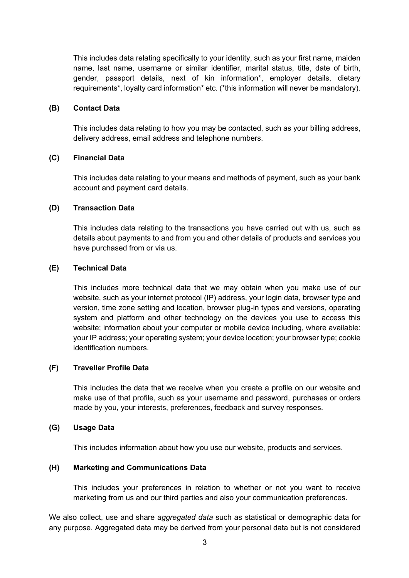This includes data relating specifically to your identity, such as your first name, maiden name, last name, username or similar identifier, marital status, title, date of birth, gender, passport details, next of kin information\*, employer details, dietary requirements\*, loyalty card information\* etc. (\*this information will never be mandatory).

#### **(B) Contact Data**

This includes data relating to how you may be contacted, such as your billing address, delivery address, email address and telephone numbers.

#### **(C) Financial Data**

This includes data relating to your means and methods of payment, such as your bank account and payment card details.

#### **(D) Transaction Data**

This includes data relating to the transactions you have carried out with us, such as details about payments to and from you and other details of products and services you have purchased from or via us.

#### **(E) Technical Data**

This includes more technical data that we may obtain when you make use of our website, such as your internet protocol (IP) address, your login data, browser type and version, time zone setting and location, browser plug-in types and versions, operating system and platform and other technology on the devices you use to access this website; information about your computer or mobile device including, where available: your IP address; your operating system; your device location; your browser type; cookie identification numbers.

#### **(F) Traveller Profile Data**

This includes the data that we receive when you create a profile on our website and make use of that profile, such as your username and password, purchases or orders made by you, your interests, preferences, feedback and survey responses.

#### **(G) Usage Data**

This includes information about how you use our website, products and services.

#### **(H) Marketing and Communications Data**

This includes your preferences in relation to whether or not you want to receive marketing from us and our third parties and also your communication preferences.

We also collect, use and share *aggregated data* such as statistical or demographic data for any purpose. Aggregated data may be derived from your personal data but is not considered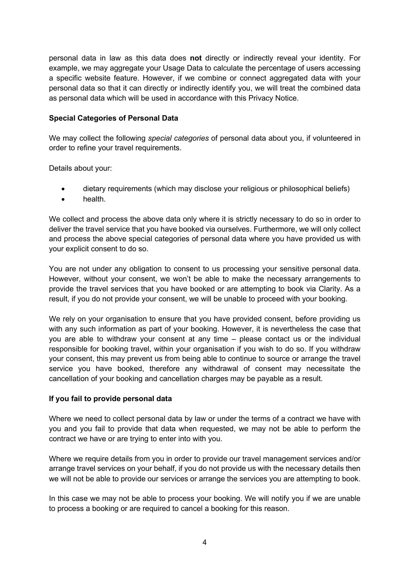personal data in law as this data does **not** directly or indirectly reveal your identity. For example, we may aggregate your Usage Data to calculate the percentage of users accessing a specific website feature. However, if we combine or connect aggregated data with your personal data so that it can directly or indirectly identify you, we will treat the combined data as personal data which will be used in accordance with this Privacy Notice.

#### **Special Categories of Personal Data**

We may collect the following *special categories* of personal data about you, if volunteered in order to refine your travel requirements.

Details about your:

- dietary requirements (which may disclose your religious or philosophical beliefs)
- health.

We collect and process the above data only where it is strictly necessary to do so in order to deliver the travel service that you have booked via ourselves. Furthermore, we will only collect and process the above special categories of personal data where you have provided us with your explicit consent to do so.

You are not under any obligation to consent to us processing your sensitive personal data. However, without your consent, we won't be able to make the necessary arrangements to provide the travel services that you have booked or are attempting to book via Clarity. As a result, if you do not provide your consent, we will be unable to proceed with your booking.

We rely on your organisation to ensure that you have provided consent, before providing us with any such information as part of your booking. However, it is nevertheless the case that you are able to withdraw your consent at any time – please contact us or the individual responsible for booking travel, within your organisation if you wish to do so. If you withdraw your consent, this may prevent us from being able to continue to source or arrange the travel service you have booked, therefore any withdrawal of consent may necessitate the cancellation of your booking and cancellation charges may be payable as a result.

#### **If you fail to provide personal data**

Where we need to collect personal data by law or under the terms of a contract we have with you and you fail to provide that data when requested, we may not be able to perform the contract we have or are trying to enter into with you.

Where we require details from you in order to provide our travel management services and/or arrange travel services on your behalf, if you do not provide us with the necessary details then we will not be able to provide our services or arrange the services you are attempting to book.

In this case we may not be able to process your booking. We will notify you if we are unable to process a booking or are required to cancel a booking for this reason.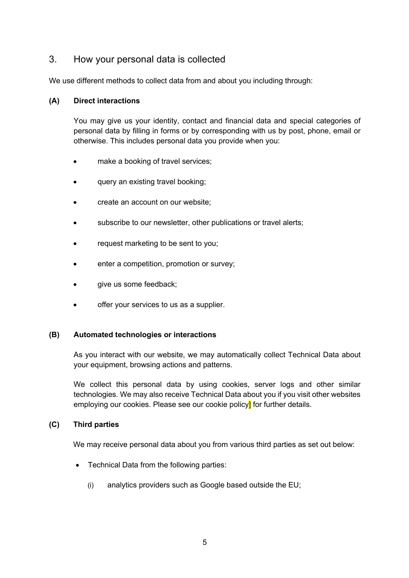# 3. How your personal data is collected

We use different methods to collect data from and about you including through:

#### **(A) Direct interactions**

You may give us your identity, contact and financial data and special categories of personal data by filling in forms or by corresponding with us by post, phone, email or otherwise. This includes personal data you provide when you:

- make a booking of travel services;
- query an existing travel booking;
- create an account on our website;
- subscribe to our newsletter, other publications or travel alerts;
- request marketing to be sent to you;
- enter a competition, promotion or survey;
- give us some feedback;
- offer your services to us as a supplier.

#### **(B) Automated technologies or interactions**

As you interact with our website, we may automatically collect Technical Data about your equipment, browsing actions and patterns.

We collect this personal data by using cookies, server logs and other similar technologies. We may also receive Technical Data about you if you visit other websites employing our cookies. Please see our cookie policy<sup>1</sup> for further details.

#### **(C) Third parties**

We may receive personal data about you from various third parties as set out below:

- Technical Data from the following parties:
	- (i) analytics providers such as Google based outside the EU;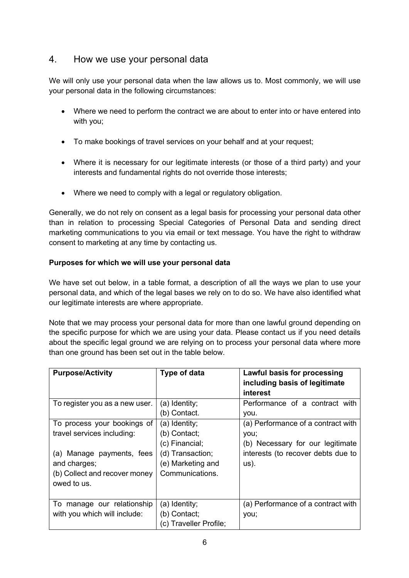# 4. How we use your personal data

We will only use your personal data when the law allows us to. Most commonly, we will use your personal data in the following circumstances:

- Where we need to perform the contract we are about to enter into or have entered into with you;
- To make bookings of travel services on your behalf and at your request;
- Where it is necessary for our legitimate interests (or those of a third party) and your interests and fundamental rights do not override those interests;
- Where we need to comply with a legal or regulatory obligation.

Generally, we do not rely on consent as a legal basis for processing your personal data other than in relation to processing Special Categories of Personal Data and sending direct marketing communications to you via email or text message. You have the right to withdraw consent to marketing at any time by contacting us.

## **Purposes for which we will use your personal data**

We have set out below, in a table format, a description of all the ways we plan to use your personal data, and which of the legal bases we rely on to do so. We have also identified what our legitimate interests are where appropriate.

Note that we may process your personal data for more than one lawful ground depending on the specific purpose for which we are using your data. Please contact us if you need details about the specific legal ground we are relying on to process your personal data where more than one ground has been set out in the table below.

| <b>Purpose/Activity</b>        | Type of data           | Lawful basis for processing        |
|--------------------------------|------------------------|------------------------------------|
|                                |                        | including basis of legitimate      |
|                                |                        | interest                           |
| To register you as a new user. | (a) Identity;          | Performance of a contract with     |
|                                | (b) Contact.           | you.                               |
| To process your bookings of    | (a) Identity;          | (a) Performance of a contract with |
| travel services including:     | (b) Contact;           | you;                               |
|                                | (c) Financial;         | (b) Necessary for our legitimate   |
| (a) Manage payments, fees      | (d) Transaction;       | interests (to recover debts due to |
| and charges;                   | (e) Marketing and      | $US)$ .                            |
| (b) Collect and recover money  | Communications.        |                                    |
| owed to us.                    |                        |                                    |
|                                |                        |                                    |
| To manage our relationship     | (a) Identity;          | (a) Performance of a contract with |
| with you which will include:   | (b) Contact;           | you;                               |
|                                | (c) Traveller Profile; |                                    |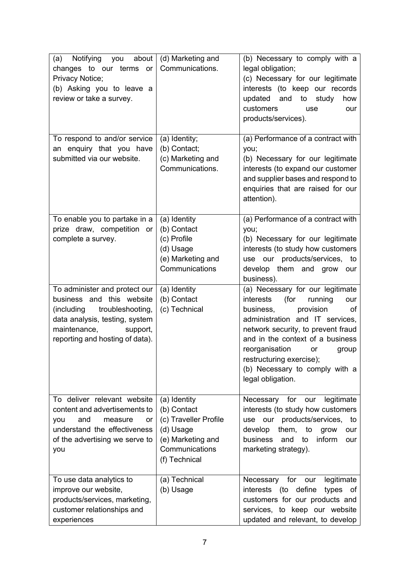| Notifying<br>about  <br>you<br>(a)<br>changes to our terms or<br>Privacy Notice;<br>(b) Asking you to leave a<br>review or take a survey.                                                     | (d) Marketing and<br>Communications.                                                                                      | (b) Necessary to comply with a<br>legal obligation;<br>(c) Necessary for our legitimate<br>interests (to keep our records<br>updated and<br>to<br>study<br>how<br>customers<br>use<br>our<br>products/services).                                                                                                                         |
|-----------------------------------------------------------------------------------------------------------------------------------------------------------------------------------------------|---------------------------------------------------------------------------------------------------------------------------|------------------------------------------------------------------------------------------------------------------------------------------------------------------------------------------------------------------------------------------------------------------------------------------------------------------------------------------|
| To respond to and/or service<br>an enquiry that you have<br>submitted via our website.                                                                                                        | (a) Identity;<br>(b) Contact;<br>(c) Marketing and<br>Communications.                                                     | (a) Performance of a contract with<br>you;<br>(b) Necessary for our legitimate<br>interests (to expand our customer<br>and supplier bases and respond to<br>enquiries that are raised for our<br>attention).                                                                                                                             |
| To enable you to partake in a<br>prize draw, competition or<br>complete a survey.                                                                                                             | (a) Identity<br>(b) Contact<br>(c) Profile<br>(d) Usage<br>(e) Marketing and<br>Communications                            | (a) Performance of a contract with<br>you;<br>(b) Necessary for our legitimate<br>interests (to study how customers<br>products/services, to<br>use our<br>develop them and grow our<br>business).                                                                                                                                       |
| To administer and protect our<br>business and this website<br>troubleshooting,<br>(including<br>data analysis, testing, system<br>maintenance,<br>support,<br>reporting and hosting of data). | (a) Identity<br>(b) Contact<br>(c) Technical                                                                              | (a) Necessary for our legitimate<br>(for<br>running<br>interests<br>our<br>business,<br>provision<br>οf<br>administration and IT services,<br>network security, to prevent fraud<br>and in the context of a business<br>reorganisation<br>or<br>group<br>restructuring exercise);<br>(b) Necessary to comply with a<br>legal obligation. |
| To deliver relevant website<br>content and advertisements to<br>and<br>you<br>measure<br>or<br>understand the effectiveness<br>of the advertising we serve to<br>you                          | (a) Identity<br>(b) Contact<br>(c) Traveller Profile<br>(d) Usage<br>(e) Marketing and<br>Communications<br>(f) Technical | legitimate<br>Necessary<br>for<br>our<br>interests (to study how customers<br>products/services,<br>use our<br>to<br>develop<br>them,<br>to<br>grow<br>our<br>business<br>inform<br>and<br>to<br>our<br>marketing strategy).                                                                                                             |
| To use data analytics to<br>improve our website,<br>products/services, marketing,<br>customer relationships and<br>experiences                                                                | (a) Technical<br>(b) Usage                                                                                                | for<br>legitimate<br>Necessary<br>our<br>interests (to define<br>types of<br>customers for our products and<br>services, to keep our website<br>updated and relevant, to develop                                                                                                                                                         |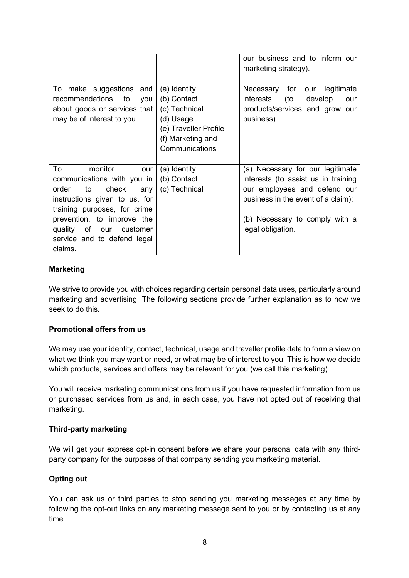|                                                                                                                                                    |                                                                                    | our business and to inform our<br>marketing strategy).                                                                                        |
|----------------------------------------------------------------------------------------------------------------------------------------------------|------------------------------------------------------------------------------------|-----------------------------------------------------------------------------------------------------------------------------------------------|
| To make suggestions and<br>recommendations<br>to<br>you<br>about goods or services that<br>may be of interest to you                               | (a) Identity<br>(b) Contact<br>(c) Technical<br>(d) Usage<br>(e) Traveller Profile | for<br>legitimate<br>Necessary<br>our<br>interests<br>(to<br>develop<br>our<br>products/services and grow our<br>business).                   |
|                                                                                                                                                    | (f) Marketing and<br>Communications                                                |                                                                                                                                               |
| To<br>monitor<br>our<br>communications with you in<br>check<br>order<br>to<br>any<br>instructions given to us, for<br>training purposes, for crime | (a) Identity<br>(b) Contact<br>(c) Technical                                       | (a) Necessary for our legitimate<br>interests (to assist us in training<br>our employees and defend our<br>business in the event of a claim); |
| prevention, to improve the<br>quality of our customer<br>service and to defend legal<br>claims.                                                    |                                                                                    | (b) Necessary to comply with a<br>legal obligation.                                                                                           |

#### **Marketing**

We strive to provide you with choices regarding certain personal data uses, particularly around marketing and advertising. The following sections provide further explanation as to how we seek to do this.

#### **Promotional offers from us**

We may use your identity, contact, technical, usage and traveller profile data to form a view on what we think you may want or need, or what may be of interest to you. This is how we decide which products, services and offers may be relevant for you (we call this marketing).

You will receive marketing communications from us if you have requested information from us or purchased services from us and, in each case, you have not opted out of receiving that marketing.

#### **Third-party marketing**

We will get your express opt-in consent before we share your personal data with any thirdparty company for the purposes of that company sending you marketing material.

#### **Opting out**

You can ask us or third parties to stop sending you marketing messages at any time by following the opt-out links on any marketing message sent to you or by contacting us at any time.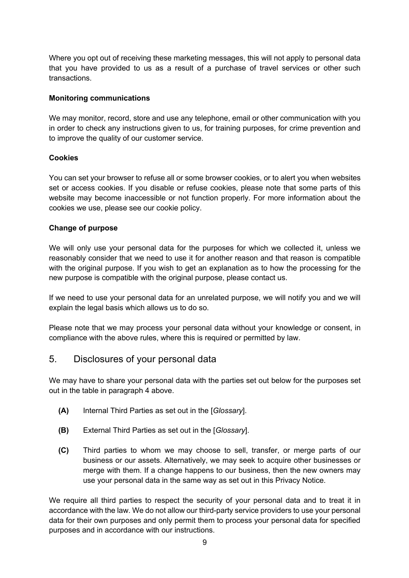Where you opt out of receiving these marketing messages, this will not apply to personal data that you have provided to us as a result of a purchase of travel services or other such transactions.

#### **Monitoring communications**

We may monitor, record, store and use any telephone, email or other communication with you in order to check any instructions given to us, for training purposes, for crime prevention and to improve the quality of our customer service.

#### **Cookies**

You can set your browser to refuse all or some browser cookies, or to alert you when websites set or access cookies. If you disable or refuse cookies, please note that some parts of this website may become inaccessible or not function properly. For more information about the cookies we use, please see our cookie policy.

#### **Change of purpose**

We will only use your personal data for the purposes for which we collected it, unless we reasonably consider that we need to use it for another reason and that reason is compatible with the original purpose. If you wish to get an explanation as to how the processing for the new purpose is compatible with the original purpose, please contact us.

If we need to use your personal data for an unrelated purpose, we will notify you and we will explain the legal basis which allows us to do so.

Please note that we may process your personal data without your knowledge or consent, in compliance with the above rules, where this is required or permitted by law.

## 5. Disclosures of your personal data

We may have to share your personal data with the parties set out below for the purposes set out in the table in paragraph 4 above.

- **(A)** Internal Third Parties as set out in the [*Glossary*].
- **(B)** External Third Parties as set out in the [*Glossary*].
- **(C)** Third parties to whom we may choose to sell, transfer, or merge parts of our business or our assets. Alternatively, we may seek to acquire other businesses or merge with them. If a change happens to our business, then the new owners may use your personal data in the same way as set out in this Privacy Notice.

We require all third parties to respect the security of your personal data and to treat it in accordance with the law. We do not allow our third-party service providers to use your personal data for their own purposes and only permit them to process your personal data for specified purposes and in accordance with our instructions.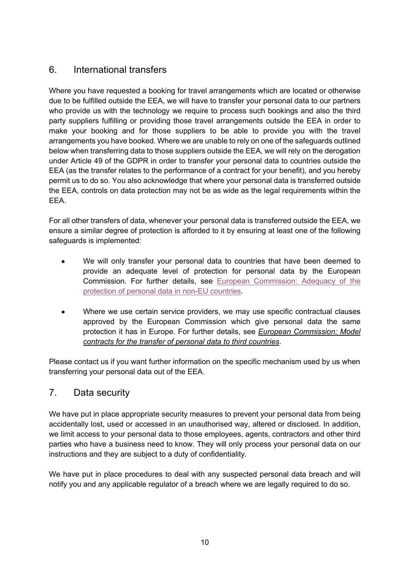# 6. International transfers

Where you have requested a booking for travel arrangements which are located or otherwise due to be fulfilled outside the EEA, we will have to transfer your personal data to our partners who provide us with the technology we require to process such bookings and also the third party suppliers fulfilling or providing those travel arrangements outside the EEA in order to make your booking and for those suppliers to be able to provide you with the travel arrangements you have booked. Where we are unable to rely on one of the safeguards outlined below when transferring data to those suppliers outside the EEA, we will rely on the derogation under Article 49 of the GDPR in order to transfer your personal data to countries outside the EEA (as the transfer relates to the performance of a contract for your benefit), and you hereby permit us to do so. You also acknowledge that where your personal data is transferred outside the EEA, controls on data protection may not be as wide as the legal requirements within the EEA.

For all other transfers of data, whenever your personal data is transferred outside the EEA, we ensure a similar degree of protection is afforded to it by ensuring at least one of the following safeguards is implemented:

- We will only transfer your personal data to countries that have been deemed to provide an adequate level of protection for personal data by the European Commission. For further details, see European Commission: Adequacy of the protection of personal data in non-EU countries.
- Where we use certain service providers, we may use specific contractual clauses approved by the European Commission which give personal data the same protection it has in Europe. For further details, see *European Commission: Model contracts for the transfer of personal data to third countries*.

Please contact us if you want further information on the specific mechanism used by us when transferring your personal data out of the EEA.

# 7. Data security

We have put in place appropriate security measures to prevent your personal data from being accidentally lost, used or accessed in an unauthorised way, altered or disclosed. In addition, we limit access to your personal data to those employees, agents, contractors and other third parties who have a business need to know. They will only process your personal data on our instructions and they are subject to a duty of confidentiality.

We have put in place procedures to deal with any suspected personal data breach and will notify you and any applicable regulator of a breach where we are legally required to do so.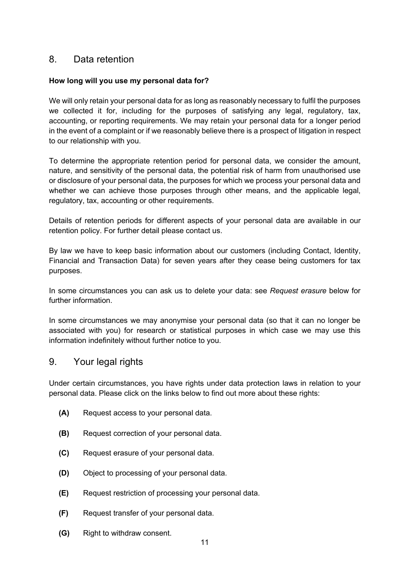# 8. Data retention

## **How long will you use my personal data for?**

We will only retain your personal data for as long as reasonably necessary to fulfil the purposes we collected it for, including for the purposes of satisfying any legal, regulatory, tax, accounting, or reporting requirements. We may retain your personal data for a longer period in the event of a complaint or if we reasonably believe there is a prospect of litigation in respect to our relationship with you.

To determine the appropriate retention period for personal data, we consider the amount, nature, and sensitivity of the personal data, the potential risk of harm from unauthorised use or disclosure of your personal data, the purposes for which we process your personal data and whether we can achieve those purposes through other means, and the applicable legal, regulatory, tax, accounting or other requirements.

Details of retention periods for different aspects of your personal data are available in our retention policy. For further detail please contact us.

By law we have to keep basic information about our customers (including Contact, Identity, Financial and Transaction Data) for seven years after they cease being customers for tax purposes.

In some circumstances you can ask us to delete your data: see *Request erasure* below for further information.

In some circumstances we may anonymise your personal data (so that it can no longer be associated with you) for research or statistical purposes in which case we may use this information indefinitely without further notice to you.

## 9. Your legal rights

Under certain circumstances, you have rights under data protection laws in relation to your personal data. Please click on the links below to find out more about these rights:

- **(A)** Request access to your personal data.
- **(B)** Request correction of your personal data.
- **(C)** Request erasure of your personal data.
- **(D)** Object to processing of your personal data.
- **(E)** Request restriction of processing your personal data.
- **(F)** Request transfer of your personal data.
- **(G)** Right to withdraw consent.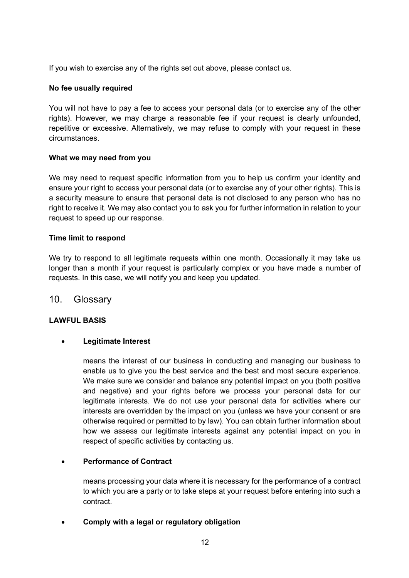If you wish to exercise any of the rights set out above, please contact us.

#### **No fee usually required**

You will not have to pay a fee to access your personal data (or to exercise any of the other rights). However, we may charge a reasonable fee if your request is clearly unfounded, repetitive or excessive. Alternatively, we may refuse to comply with your request in these circumstances.

#### **What we may need from you**

We may need to request specific information from you to help us confirm your identity and ensure your right to access your personal data (or to exercise any of your other rights). This is a security measure to ensure that personal data is not disclosed to any person who has no right to receive it. We may also contact you to ask you for further information in relation to your request to speed up our response.

#### **Time limit to respond**

We try to respond to all legitimate requests within one month. Occasionally it may take us longer than a month if your request is particularly complex or you have made a number of requests. In this case, we will notify you and keep you updated.

## 10. Glossary

## **LAWFUL BASIS**

## • **Legitimate Interest**

means the interest of our business in conducting and managing our business to enable us to give you the best service and the best and most secure experience. We make sure we consider and balance any potential impact on you (both positive and negative) and your rights before we process your personal data for our legitimate interests. We do not use your personal data for activities where our interests are overridden by the impact on you (unless we have your consent or are otherwise required or permitted to by law). You can obtain further information about how we assess our legitimate interests against any potential impact on you in respect of specific activities by contacting us.

## • **Performance of Contract**

means processing your data where it is necessary for the performance of a contract to which you are a party or to take steps at your request before entering into such a contract.

## • **Comply with a legal or regulatory obligation**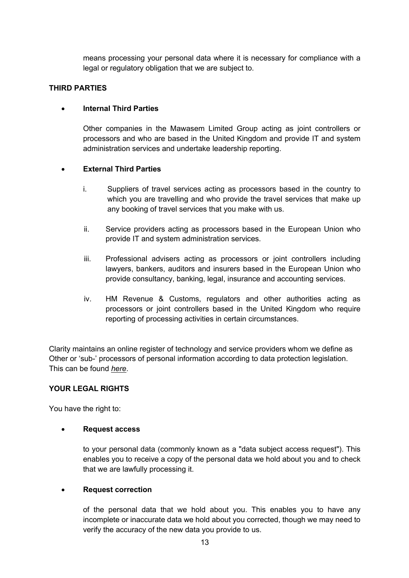means processing your personal data where it is necessary for compliance with a legal or regulatory obligation that we are subject to.

## **THIRD PARTIES**

### • **Internal Third Parties**

Other companies in the Mawasem Limited Group acting as joint controllers or processors and who are based in the United Kingdom and provide IT and system administration services and undertake leadership reporting.

#### • **External Third Parties**

- i. Suppliers of travel services acting as processors based in the country to which you are travelling and who provide the travel services that make up any booking of travel services that you make with us.
- ii. Service providers acting as processors based in the European Union who provide IT and system administration services.
- iii. Professional advisers acting as processors or joint controllers including lawyers, bankers, auditors and insurers based in the European Union who provide consultancy, banking, legal, insurance and accounting services.
- iv. HM Revenue & Customs, regulators and other authorities acting as processors or joint controllers based in the United Kingdom who require reporting of processing activities in certain circumstances.

Clarity maintains an online register of technology and service providers whom we define as Other or 'sub-' processors of personal information according to data protection legislation. This can be found *here*.

## **YOUR LEGAL RIGHTS**

You have the right to:

#### • **Request access**

to your personal data (commonly known as a "data subject access request"). This enables you to receive a copy of the personal data we hold about you and to check that we are lawfully processing it.

#### • **Request correction**

of the personal data that we hold about you. This enables you to have any incomplete or inaccurate data we hold about you corrected, though we may need to verify the accuracy of the new data you provide to us.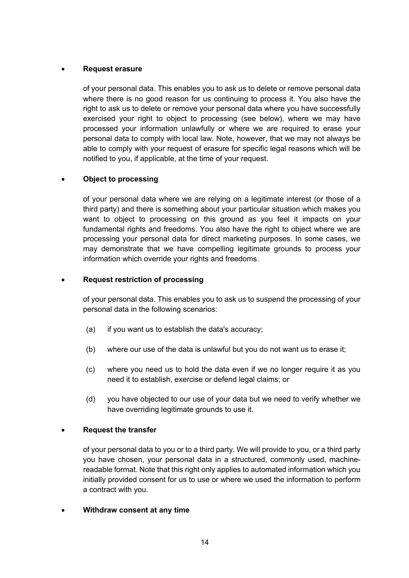### • **Request erasure**

of your personal data. This enables you to ask us to delete or remove personal data where there is no good reason for us continuing to process it. You also have the right to ask us to delete or remove your personal data where you have successfully exercised your right to object to processing (see below), where we may have processed your information unlawfully or where we are required to erase your personal data to comply with local law. Note, however, that we may not always be able to comply with your request of erasure for specific legal reasons which will be notified to you, if applicable, at the time of your request.

## • **Object to processing**

of your personal data where we are relying on a legitimate interest (or those of a third party) and there is something about your particular situation which makes you want to object to processing on this ground as you feel it impacts on your fundamental rights and freedoms. You also have the right to object where we are processing your personal data for direct marketing purposes. In some cases, we may demonstrate that we have compelling legitimate grounds to process your information which override your rights and freedoms.

#### • **Request restriction of processing**

of your personal data. This enables you to ask us to suspend the processing of your personal data in the following scenarios:

- (a) if you want us to establish the data's accuracy;
- (b) where our use of the data is unlawful but you do not want us to erase it;
- (c) where you need us to hold the data even if we no longer require it as you need it to establish, exercise or defend legal claims; or
- (d) you have objected to our use of your data but we need to verify whether we have overriding legitimate grounds to use it.

## • **Request the transfer**

of your personal data to you or to a third party. We will provide to you, or a third party you have chosen, your personal data in a structured, commonly used, machinereadable format. Note that this right only applies to automated information which you initially provided consent for us to use or where we used the information to perform a contract with you.

#### • **Withdraw consent at any time**